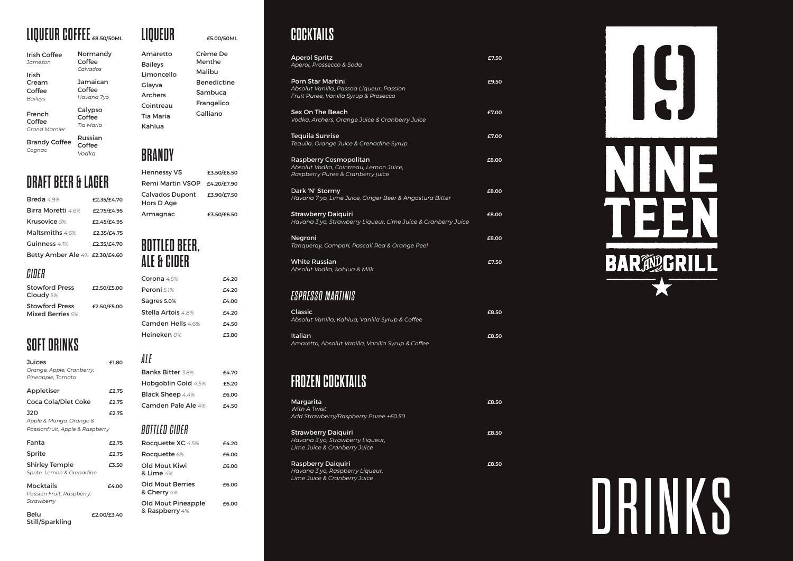# **LIQUEUR COFFEE £8.50/50ML**

| Irish Coffee<br>.Jameson                 | Normandy<br>Coffee             |
|------------------------------------------|--------------------------------|
| Irish                                    | Calvados                       |
| Cream                                    | Jamaican                       |
| Coffee                                   | Coffee                         |
| <b>Bailevs</b>                           | Havana 7yo                     |
| French<br>Coffee<br><b>Grand Marnier</b> | Calypso<br>Coffee<br>Tia Maria |
|                                          | Russian                        |

Brandy Coffee *Cognac* Russian Coffee *Vodka*

# **DRAFT BEER & LAGER**

| Breda 4.9%                     | £2.35/£4.70 |
|--------------------------------|-------------|
| Birra Moretti 4.6%             | £2.75/£4.95 |
| Krusovice 5%                   | £2.45/£4.95 |
| Maltsmiths 4.6%                | £2.35/£4.75 |
| Guinness 4.1%                  | £2.35/£4.70 |
| Betty Amber Ale 4% £2.30/£4.60 |             |

### *CIDER*

| <b>Stowford Press</b><br>Cloudy 5% | £2.50/£5.00 |
|------------------------------------|-------------|
| <b>Stowford Press</b>              | £2.50/£5.00 |
| <b>Mixed Berries 5%</b>            |             |

# **SOFT DRINKS**

Still/Sparkling

| Juices<br>Orange, Apple, Cranberry,<br>Pineapple, Tomato                 | £1.80       |
|--------------------------------------------------------------------------|-------------|
| Appletiser                                                               | £2.75       |
| <b>Coca Cola/Diet Coke</b>                                               | £2.75       |
| <b>J20</b><br>Apple & Mango, Orange &<br>Passionfruit, Apple & Raspberry | £2.75       |
| Fanta                                                                    | £2.75       |
| Sprite                                                                   | £2.75       |
| <b>Shirley Temple</b><br>Sprite, Lemon & Grenadine                       | £3.50       |
| Mocktails<br>Passion Fruit, Raspberry,<br>Strawberry                     | f4.00       |
| Belu                                                                     | £2.00/£3.40 |

| Amaretto         | Crème De           |
|------------------|--------------------|
| <b>Baileys</b>   | Menthe             |
| I imoncello      | Malibu             |
| Glayva           | <b>Benedictine</b> |
| <b>Archers</b>   | Sambuca            |
| Cointreau        | Frangelico         |
| <b>Tia Maria</b> | Galliano           |
| Kahlua           |                    |
|                  |                    |

**LIQUEUR £5.00/50ML**

# **BRANDY**

| <b>Hennessy VS</b>                   | £3.50/£6.50 |
|--------------------------------------|-------------|
| <b>Remi Martin VSOP</b>              | £4.20/£7.90 |
| <b>Calvados Dupont</b><br>Hors D Age | £3.90/£7.50 |
| Armagnac                             | £3.50/£6.50 |

### **BOTTLED BEER, ALE & CIDER**

| f4.20 |
|-------|
| £4.20 |
| f4.00 |
| £4.20 |
| 64.50 |
|       |
|       |

#### *ALE* Banks Bitter *3.8%* **£4.70** Hobgoblin Gold *4.5%* **£5.20** Black Sheep *4.4%* **£6.00** Camden Pale Ale *4%* **£4.50** *BOTTLED CIDER* Rocquette XC *4.5%* **£4.20** Rocquette *6%* **£6.00** Old Mout Kiwi **£6.00** & Lime *4%*  Old Mout Berries **£6.00** & Cherry *4%*  Old Mout Pineapple **£6.00** & Raspberry *4%*

## **COCKTAILS**

| <b>Aperol Spritz</b><br>Aperol, Prossecco & Soda                                                              | £7.50 |
|---------------------------------------------------------------------------------------------------------------|-------|
| <b>Porn Star Martini</b><br>Absolut Vanilla, Passoa Liqueur, Passion<br>Fruit Puree, Vanilla Syrup & Prosecco | £9.50 |
| Sex On The Beach<br>Vodka, Archers, Orange Juice & Cranberry Juice                                            | £7.00 |
| <b>Teguila Sunrise</b><br>Tequila, Orange Juice & Grenadine Syrup                                             | £7.00 |
| Raspberry Cosmopolitan<br>Absolut Vodka, Cointreau, Lemon Juice,<br>Raspberry Puree & Cranberry juice         | £8.00 |
| Dark 'N' Stormy<br>Havana 7 yo, Lime Juice, Ginger Beer & Angostura Bitter                                    | £8.00 |
| <b>Strawberry Daiguiri</b><br>Havana 3 yo, Strawberry Liqueur, Lime Juice & Cranberry Juice                   | £8.00 |
| Negroni<br>Tangueray, Campari, Pascali Red & Orange Peel                                                      | £8.00 |
| <b>White Russian</b><br>Absolut Vodka, kahlua & Milk                                                          | £7.50 |

### *ESPRESSO MARTINIS*

| Classic<br>Absolut Vanilla, Kahlua, Vanilla Syrup & Coffee   | £8.50 |
|--------------------------------------------------------------|-------|
| Italian<br>Amaretto, Absolut Vanilla, Vanilla Syrup & Coffee | £8.50 |

# **FROZEN COCKTAILS**

| Margarita<br>With A Twist<br>Add Strawberry/Raspberry Puree +£0.50                      | £8.50 |
|-----------------------------------------------------------------------------------------|-------|
| Strawberry Daiquiri<br>Havana 3 yo, Strawberry Liqueur,<br>Lime Juice & Cranberry Juice | £8.50 |
| Raspberry Daiquiri                                                                      | £8.50 |

*Havana 3 yo, Raspberry Liqueur, Lime Juice & Cranberry Juice*

IS. **BAR**<sup>20</sup><sub>2</sub>GRIL

DRINKS